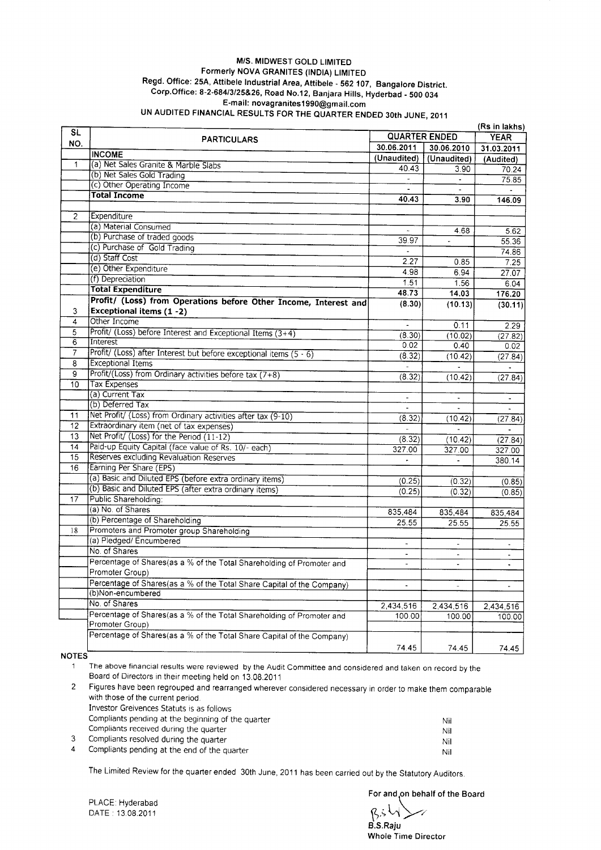## M/S. MIDWEST GOLD LIMITED Formerly NOVA GRANITES (INDIA) LIMITED Regd. Office: 25A, Attibele Industrial Area, Attibele - 562 107, Bangalore District. Corp.Office: 8-2-684/3/25&26, Road No.12, Banjara Hills, Hyderbad - 500 034 E-mail: novagranites1990@gmail.com UN AUDITED FINANCIAL RESULTS FOR THE QUARTER ENDED 30th JUNE, 2011

| <b>SL</b>      |                                                                                          |                          |                          | (Rs in lakhs)  |
|----------------|------------------------------------------------------------------------------------------|--------------------------|--------------------------|----------------|
|                | <b>PARTICULARS</b>                                                                       | <b>QUARTER ENDED</b>     |                          | <b>YEAR</b>    |
| NO.            |                                                                                          | 30.06.2011               | 30.06.2010               | 31.03.2011     |
|                | <b>INCOME</b>                                                                            | (Unaudited)              | (Unaudited)              | (Audited)      |
| $\mathbf{1}$   | (a) Net Sales Granite & Marble Slabs                                                     | 40.43                    | 3.90                     | 70.24          |
|                | (b) Net Sales Gold Trading<br>(c) Other Operating Income                                 |                          | $\blacksquare$           | 75.85          |
|                | <b>Total Income</b>                                                                      |                          |                          |                |
|                |                                                                                          | 40.43                    | 3.90                     | 146.09         |
| $\overline{2}$ | Expenditure                                                                              |                          |                          |                |
|                | (a) Material Consumed                                                                    |                          |                          |                |
|                | (b) Purchase of traded goods                                                             |                          | 4.68                     | 5.62           |
|                | (c) Purchase of Gold Trading                                                             | 39.97                    | $\overline{\phantom{a}}$ | 55.36          |
|                | (d) Staff Cost                                                                           |                          |                          | 74.86          |
|                | (e) Other Expenditure                                                                    | 2.27                     | 0.85                     | 7.25           |
|                | (f) Depreciation                                                                         | 4.98                     | 6.94                     | 27.07          |
|                | <b>Total Expenditure</b>                                                                 | 1.51                     | 1.56                     | 6.04           |
|                |                                                                                          | 48.73                    | 14.03                    | 176.20         |
|                | Profit/ (Loss) from Operations before Other Income, Interest and                         | (8.30)                   | (10.13)                  | (30.11)        |
| 3              | <b>Exceptional items (1-2)</b><br>Other Income                                           |                          |                          |                |
| 4              |                                                                                          | $\blacksquare$           | 0.11                     | 2.29           |
| 5              | Profit/ (Loss) before Interest and Exceptional Items (3+4)<br>Interest                   | (8.30)                   | (10.02)                  | (27.82)        |
| 6              |                                                                                          | 0.02                     | 0.40                     | 0.02           |
| 7              | Profit/ (Loss) after Interest but before exceptional items $(5 - 6)$                     | (8.32)                   | (10.42)                  | (27.84)        |
| 8              | <b>Exceptional Items</b>                                                                 |                          |                          |                |
| 9              | Profit/(Loss) from Ordinary activities before tax (7+8)                                  | (8.32)                   | (10.42)                  | (27.84)        |
| 10             | <b>Tax Expenses</b>                                                                      |                          |                          |                |
|                | (a) Current Tax                                                                          | $\blacksquare$           | $\omega$                 |                |
|                | (b) Deferred Tax                                                                         |                          |                          |                |
| 11             | Net Profit/ (Loss) from Ordinary activities after tax (9-10)                             | (8.32)                   | (10.42)                  | (27.84)        |
| 12             | Extraordinary item (net of tax expenses)                                                 |                          |                          |                |
| 13             | Net Profit/ (Loss) for the Period (11-12)                                                | (8.32)                   | (10.42)                  | (27.84)        |
| 14             | Paid-up Equity Capital (face value of Rs. 10/- each)                                     | 327.00                   | 327.00                   | 327.00         |
| 15             | Reserves excluding Revaluation Reserves                                                  |                          |                          | 380.14         |
| 16             | Earning Per Share (EPS)                                                                  |                          |                          |                |
|                | (a) Basic and Diluted EPS (before extra ordinary items)                                  | (0.25)                   | (0.32)                   | (0.85)         |
|                | (b) Basic and Diluted EPS (after extra ordinary items)                                   | (0.25)                   | (0.32)                   | (0.85)         |
| 17             | Public Shareholding:                                                                     |                          |                          |                |
|                | (a) No. of Shares                                                                        | 835,484                  | 835,484                  | 835,484        |
|                | (b) Percentage of Shareholding                                                           | 25.55                    | 25.55                    | 25.55          |
| 18             | Promoters and Promoter group Shareholding                                                |                          |                          |                |
|                | (a) Pledged/ Encumbered                                                                  | $\tilde{\phantom{a}}$    |                          |                |
|                | No. of Shares                                                                            | ۰                        | $\tilde{\phantom{a}}$    | $\sim$         |
|                | Percentage of Shares(as a % of the Total Shareholding of Promoter and                    | $\overline{\phantom{a}}$ | $\overline{\phantom{a}}$ | $\blacksquare$ |
|                | Promoter Group)                                                                          |                          |                          |                |
|                | Percentage of Shares(as a % of the Total Share Capital of the Company)                   | $\overline{\phantom{a}}$ | $\sim$                   |                |
|                | (b)Non-encumbered                                                                        |                          |                          |                |
|                | No. of Shares                                                                            | 2,434,516                | 2,434,516                | 2,434,516      |
|                | Percentage of Shares(as a % of the Total Shareholding of Promoter and<br>Promoter Group) | 100.00                   | 100.00                   | 100.00         |
|                | Percentage of Shares(as a % of the Total Share Capital of the Company)                   |                          |                          |                |
|                |                                                                                          | 74.45                    | 74.45                    | 74.45          |

NOTES

The above financial results were reviewed by the Audit Committee and considered and taken on record by the  $\mathbf 1$ Board of Directors in their meeting held on 13.08.2011

Figures have been regrouped and rearranged wherever considered necessary in order to make them comparable  $\overline{2}$ with those of the current period. Investor Greivences Statuts is as follows Compliants pending at the beginning of the quarter Nil Compliants received during the quarter Nil  $\mathbf{3}$ Compliants resolved during the quarter Nil Compliants pending at the end of the quarter  $\overline{4}$ Nil

The Limited Review for the quarter ended 30th June, 2011 has been carried out by the Statutory Auditors.

PLACE: Hyderabad DATE: 13.08.2011

For and on behalf of the Board

 $R, S \cup B$ <br>B.S.Raju **Whole Time Director**